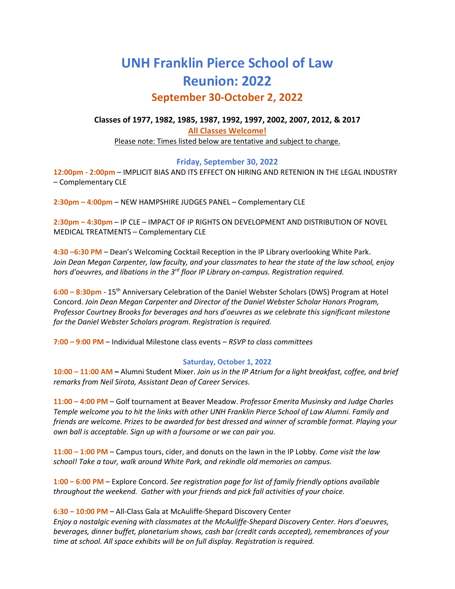# **UNH Franklin Pierce School of Law Reunion: 2022 September 30-October 2, 2022**

### **Classes of 1977, 1982, 1985, 1987, 1992, 1997, 2002, 2007, 2012, & 2017 All Classes Welcome!** Please note: Times listed below are tentative and subject to change.

#### **Friday, September 30, 2022**

**12:00pm - 2:00pm** – IMPLICIT BIAS AND ITS EFFECT ON HIRING AND RETENION IN THE LEGAL INDUSTRY – Complementary CLE

**2:30pm – 4:00pm** – NEW HAMPSHIRE JUDGES PANEL – Complementary CLE

**2:30pm – 4:30pm** – IP CLE – IMPACT OF IP RIGHTS ON DEVELOPMENT AND DISTRIBUTION OF NOVEL MEDICAL TREATMENTS – Complementary CLE

**4:30 –6:30 PM** – Dean's Welcoming Cocktail Reception in the IP Library overlooking White Park. *Join Dean Megan Carpenter, law faculty, and your classmates to hear the state of the law school, enjoy hors d'oeuvres, and libations in the 3rd floor IP Library on-campus. Registration required.*

**6:00 – 8:30pm** - 15th Anniversary Celebration of the Daniel Webster Scholars (DWS) Program at Hotel Concord. *Join Dean Megan Carpenter and Director of the Daniel Webster Scholar Honors Program, Professor Courtney Brooks for beverages and hors d'oeuvres as we celebrate this significant milestone for the Daniel Webster Scholars program. Registration is required.*

**7:00 – 9:00 PM** – Individual Milestone class events – *RSVP to class committees* 

#### **Saturday, October 1, 2022**

**10:00 – 11:00 AM –** Alumni Student Mixer. *Join us in the IP Atrium for a light breakfast, coffee, and brief remarks from Neil Sirota, Assistant Dean of Career Services.*

**11:00 – 4:00 PM** – Golf tournament at Beaver Meadow. *Professor Emerita Musinsky and Judge Charles Temple welcome you to hit the links with other UNH Franklin Pierce School of Law Alumni. Family and friends are welcome. Prizes to be awarded for best dressed and winner of scramble format. Playing your own ball is acceptable. Sign up with a foursome or we can pair you.* 

**11:00 – 1:00 PM** – Campus tours, cider, and donuts on the lawn in the IP Lobby. *Come visit the law school! Take a tour, walk around White Park, and rekindle old memories on campus.*

**1:00 – 6:00 PM** – Explore Concord. *See registration page for list of family friendly options available throughout the weekend. Gather with your friends and pick fall activities of your choice.*

**6:30 – 10:00 PM** – All-Class Gala at McAuliffe-Shepard Discovery Center

*Enjoy a nostalgic evening with classmates at the McAuliffe-Shepard Discovery Center. Hors d'oeuvres, beverages, dinner buffet, planetarium shows, cash bar (credit cards accepted), remembrances of your time at school. All space exhibits will be on full display. Registration is required.*